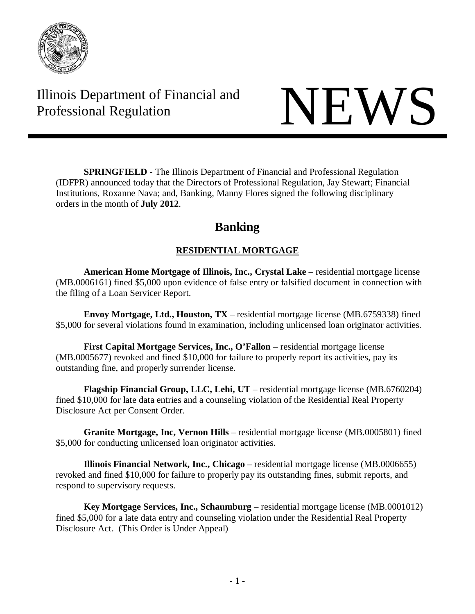

Illinois Department of Financial and Thinois Department of Financial and<br>Professional Regulation NEWS



**SPRINGFIELD** - The Illinois Department of Financial and Professional Regulation (IDFPR) announced today that the Directors of Professional Regulation, Jay Stewart; Financial Institutions, Roxanne Nava; and, Banking, Manny Flores signed the following disciplinary orders in the month of **July 2012**.

# **Banking**

# **RESIDENTIAL MORTGAGE**

**American Home Mortgage of Illinois, Inc., Crystal Lake** – residential mortgage license (MB.0006161) fined \$5,000 upon evidence of false entry or falsified document in connection with the filing of a Loan Servicer Report.

**Envoy Mortgage, Ltd., Houston, TX** – residential mortgage license (MB.6759338) fined \$5,000 for several violations found in examination, including unlicensed loan originator activities.

**First Capital Mortgage Services, Inc., O'Fallon** – residential mortgage license (MB.0005677) revoked and fined \$10,000 for failure to properly report its activities, pay its outstanding fine, and properly surrender license.

**Flagship Financial Group, LLC, Lehi, UT** – residential mortgage license (MB.6760204) fined \$10,000 for late data entries and a counseling violation of the Residential Real Property Disclosure Act per Consent Order.

**Granite Mortgage, Inc, Vernon Hills** – residential mortgage license (MB.0005801) fined \$5,000 for conducting unlicensed loan originator activities.

**Illinois Financial Network, Inc., Chicago** – residential mortgage license (MB.0006655) revoked and fined \$10,000 for failure to properly pay its outstanding fines, submit reports, and respond to supervisory requests.

**Key Mortgage Services, Inc., Schaumburg** – residential mortgage license (MB.0001012) fined \$5,000 for a late data entry and counseling violation under the Residential Real Property Disclosure Act. (This Order is Under Appeal)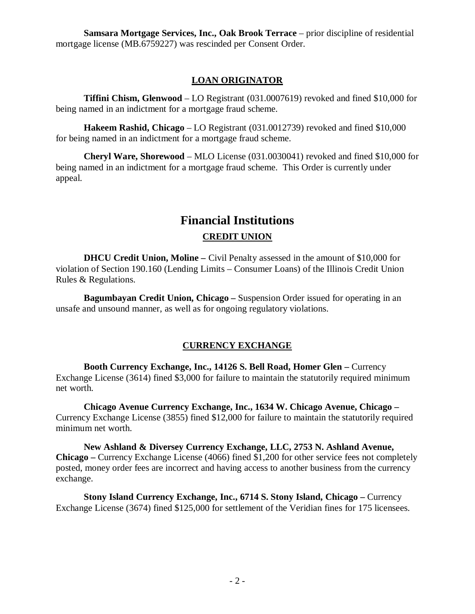**Samsara Mortgage Services, Inc., Oak Brook Terrace** – prior discipline of residential mortgage license (MB.6759227) was rescinded per Consent Order.

## **LOAN ORIGINATOR**

**Tiffini Chism, Glenwood** – LO Registrant (031.0007619) revoked and fined \$10,000 for being named in an indictment for a mortgage fraud scheme.

**Hakeem Rashid, Chicago** – LO Registrant (031.0012739) revoked and fined \$10,000 for being named in an indictment for a mortgage fraud scheme.

**Cheryl Ware, Shorewood** – MLO License (031.0030041) revoked and fined \$10,000 for being named in an indictment for a mortgage fraud scheme. This Order is currently under appeal.

# **Financial Institutions CREDIT UNION**

**DHCU Credit Union, Moline –** Civil Penalty assessed in the amount of \$10,000 for violation of Section 190.160 (Lending Limits – Consumer Loans) of the Illinois Credit Union Rules & Regulations.

**Bagumbayan Credit Union, Chicago –** Suspension Order issued for operating in an unsafe and unsound manner, as well as for ongoing regulatory violations.

## **CURRENCY EXCHANGE**

**Booth Currency Exchange, Inc., 14126 S. Bell Road, Homer Glen –** Currency Exchange License (3614) fined \$3,000 for failure to maintain the statutorily required minimum net worth.

**Chicago Avenue Currency Exchange, Inc., 1634 W. Chicago Avenue, Chicago –** Currency Exchange License (3855) fined \$12,000 for failure to maintain the statutorily required minimum net worth.

**New Ashland & Diversey Currency Exchange, LLC, 2753 N. Ashland Avenue, Chicago –** Currency Exchange License (4066) fined \$1,200 for other service fees not completely posted, money order fees are incorrect and having access to another business from the currency exchange.

**Stony Island Currency Exchange, Inc., 6714 S. Stony Island, Chicago –** Currency Exchange License (3674) fined \$125,000 for settlement of the Veridian fines for 175 licensees.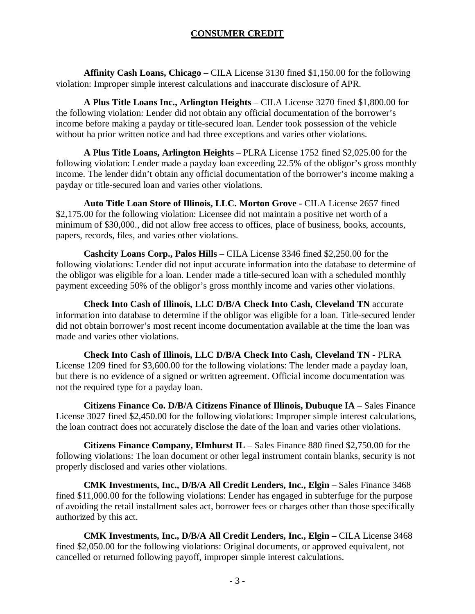### **CONSUMER CREDIT**

**Affinity Cash Loans, Chicago** – CILA License 3130 fined \$1,150.00 for the following violation: Improper simple interest calculations and inaccurate disclosure of APR.

**A Plus Title Loans Inc., Arlington Heights** – CILA License 3270 fined \$1,800.00 for the following violation: Lender did not obtain any official documentation of the borrower's income before making a payday or title-secured loan. Lender took possession of the vehicle without ha prior written notice and had three exceptions and varies other violations.

**A Plus Title Loans, Arlington Heights** – PLRA License 1752 fined \$2,025.00 for the following violation: Lender made a payday loan exceeding 22.5% of the obligor's gross monthly income. The lender didn't obtain any official documentation of the borrower's income making a payday or title-secured loan and varies other violations.

**Auto Title Loan Store of Illinois, LLC. Morton Grove** - CILA License 2657 fined \$2,175.00 for the following violation: Licensee did not maintain a positive net worth of a minimum of \$30,000., did not allow free access to offices, place of business, books, accounts, papers, records, files, and varies other violations.

**Cashcity Loans Corp., Palos Hills** – CILA License 3346 fined \$2,250.00 for the following violations: Lender did not input accurate information into the database to determine of the obligor was eligible for a loan. Lender made a title-secured loan with a scheduled monthly payment exceeding 50% of the obligor's gross monthly income and varies other violations.

**Check Into Cash of Illinois, LLC D/B/A Check Into Cash, Cleveland TN** accurate information into database to determine if the obligor was eligible for a loan. Title-secured lender did not obtain borrower's most recent income documentation available at the time the loan was made and varies other violations.

**Check Into Cash of Illinois, LLC D/B/A Check Into Cash, Cleveland TN** - PLRA License 1209 fined for \$3,600.00 for the following violations: The lender made a payday loan, but there is no evidence of a signed or written agreement. Official income documentation was not the required type for a payday loan.

**Citizens Finance Co. D/B/A Citizens Finance of Illinois, Dubuque IA** – Sales Finance License 3027 fined \$2,450.00 for the following violations: Improper simple interest calculations, the loan contract does not accurately disclose the date of the loan and varies other violations.

**Citizens Finance Company, Elmhurst IL** – Sales Finance 880 fined \$2,750.00 for the following violations: The loan document or other legal instrument contain blanks, security is not properly disclosed and varies other violations.

**CMK Investments, Inc., D/B/A All Credit Lenders, Inc., Elgin** – Sales Finance 3468 fined \$11,000.00 for the following violations: Lender has engaged in subterfuge for the purpose of avoiding the retail installment sales act, borrower fees or charges other than those specifically authorized by this act.

**CMK Investments, Inc., D/B/A All Credit Lenders, Inc., Elgin –** CILA License 3468 fined \$2,050.00 for the following violations: Original documents, or approved equivalent, not cancelled or returned following payoff, improper simple interest calculations.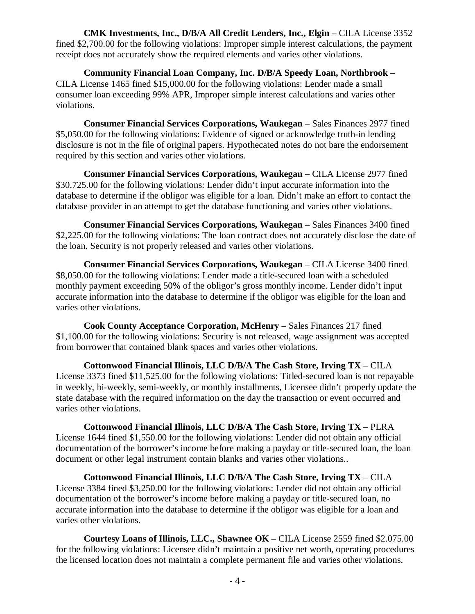**CMK Investments, Inc., D/B/A All Credit Lenders, Inc., Elgin** – CILA License 3352 fined \$2,700.00 for the following violations: Improper simple interest calculations, the payment receipt does not accurately show the required elements and varies other violations.

**Community Financial Loan Company, Inc. D/B/A Speedy Loan, Northbrook** – CILA License 1465 fined \$15,000.00 for the following violations: Lender made a small consumer loan exceeding 99% APR, Improper simple interest calculations and varies other violations.

**Consumer Financial Services Corporations, Waukegan** – Sales Finances 2977 fined \$5,050.00 for the following violations: Evidence of signed or acknowledge truth-in lending disclosure is not in the file of original papers. Hypothecated notes do not bare the endorsement required by this section and varies other violations.

**Consumer Financial Services Corporations, Waukegan** – CILA License 2977 fined \$30,725.00 for the following violations: Lender didn't input accurate information into the database to determine if the obligor was eligible for a loan. Didn't make an effort to contact the database provider in an attempt to get the database functioning and varies other violations.

**Consumer Financial Services Corporations, Waukegan** – Sales Finances 3400 fined \$2,225.00 for the following violations: The loan contract does not accurately disclose the date of the loan. Security is not properly released and varies other violations.

**Consumer Financial Services Corporations, Waukegan** – CILA License 3400 fined \$8,050.00 for the following violations: Lender made a title-secured loan with a scheduled monthly payment exceeding 50% of the obligor's gross monthly income. Lender didn't input accurate information into the database to determine if the obligor was eligible for the loan and varies other violations.

**Cook County Acceptance Corporation, McHenry** – Sales Finances 217 fined \$1,100.00 for the following violations: Security is not released, wage assignment was accepted from borrower that contained blank spaces and varies other violations.

**Cottonwood Financial Illinois, LLC D/B/A The Cash Store, Irving TX** – CILA License 3373 fined \$11,525.00 for the following violations: Titled-secured loan is not repayable in weekly, bi-weekly, semi-weekly, or monthly installments, Licensee didn't properly update the state database with the required information on the day the transaction or event occurred and varies other violations.

**Cottonwood Financial Illinois, LLC D/B/A The Cash Store, Irving TX** – PLRA License 1644 fined \$1,550.00 for the following violations: Lender did not obtain any official documentation of the borrower's income before making a payday or title-secured loan, the loan document or other legal instrument contain blanks and varies other violations..

**Cottonwood Financial Illinois, LLC D/B/A The Cash Store, Irving TX** – CILA License 3384 fined \$3,250.00 for the following violations: Lender did not obtain any official documentation of the borrower's income before making a payday or title-secured loan, no accurate information into the database to determine if the obligor was eligible for a loan and varies other violations.

**Courtesy Loans of Illinois, LLC., Shawnee OK** – CILA License 2559 fined \$2.075.00 for the following violations: Licensee didn't maintain a positive net worth, operating procedures the licensed location does not maintain a complete permanent file and varies other violations.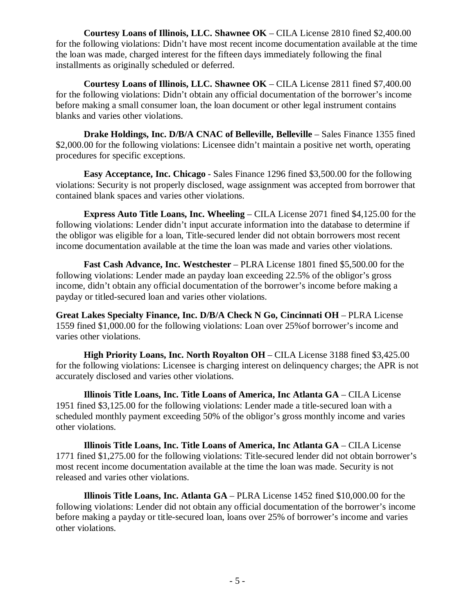**Courtesy Loans of Illinois, LLC. Shawnee OK** – CILA License 2810 fined \$2,400.00 for the following violations: Didn't have most recent income documentation available at the time the loan was made, charged interest for the fifteen days immediately following the final installments as originally scheduled or deferred.

**Courtesy Loans of Illinois, LLC. Shawnee OK** – CILA License 2811 fined \$7,400.00 for the following violations: Didn't obtain any official documentation of the borrower's income before making a small consumer loan, the loan document or other legal instrument contains blanks and varies other violations.

**Drake Holdings, Inc. D/B/A CNAC of Belleville, Belleville** – Sales Finance 1355 fined \$2,000.00 for the following violations: Licensee didn't maintain a positive net worth, operating procedures for specific exceptions.

**Easy Acceptance, Inc. Chicago** - Sales Finance 1296 fined \$3,500.00 for the following violations: Security is not properly disclosed, wage assignment was accepted from borrower that contained blank spaces and varies other violations.

**Express Auto Title Loans, Inc. Wheeling** – CILA License 2071 fined \$4,125.00 for the following violations: Lender didn't input accurate information into the database to determine if the obligor was eligible for a loan, Title-secured lender did not obtain borrowers most recent income documentation available at the time the loan was made and varies other violations.

**Fast Cash Advance, Inc. Westchester** – PLRA License 1801 fined \$5,500.00 for the following violations: Lender made an payday loan exceeding 22.5% of the obligor's gross income, didn't obtain any official documentation of the borrower's income before making a payday or titled-secured loan and varies other violations.

**Great Lakes Specialty Finance, Inc. D/B/A Check N Go, Cincinnati OH** – PLRA License 1559 fined \$1,000.00 for the following violations: Loan over 25%of borrower's income and varies other violations.

**High Priority Loans, Inc. North Royalton OH** – CILA License 3188 fined \$3,425.00 for the following violations: Licensee is charging interest on delinquency charges; the APR is not accurately disclosed and varies other violations.

**Illinois Title Loans, Inc. Title Loans of America, Inc Atlanta GA** – CILA License 1951 fined \$3,125.00 for the following violations: Lender made a title-secured loan with a scheduled monthly payment exceeding 50% of the obligor's gross monthly income and varies other violations.

**Illinois Title Loans, Inc. Title Loans of America, Inc Atlanta GA** – CILA License 1771 fined \$1,275.00 for the following violations: Title-secured lender did not obtain borrower's most recent income documentation available at the time the loan was made. Security is not released and varies other violations.

**Illinois Title Loans, Inc. Atlanta GA** – PLRA License 1452 fined \$10,000.00 for the following violations: Lender did not obtain any official documentation of the borrower's income before making a payday or title-secured loan, loans over 25% of borrower's income and varies other violations.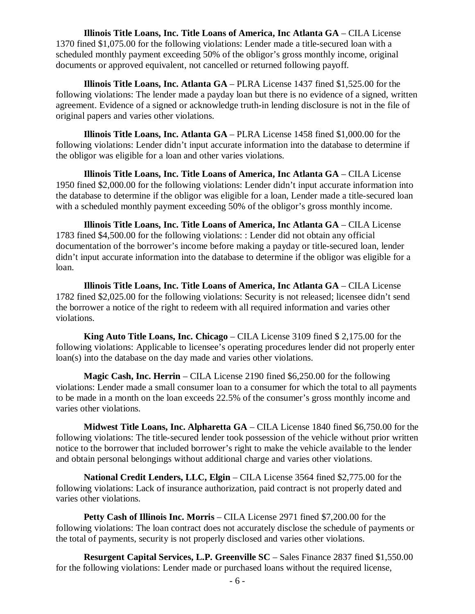**Illinois Title Loans, Inc. Title Loans of America, Inc Atlanta GA** – CILA License 1370 fined \$1,075.00 for the following violations: Lender made a title-secured loan with a scheduled monthly payment exceeding 50% of the obligor's gross monthly income, original documents or approved equivalent, not cancelled or returned following payoff.

**Illinois Title Loans, Inc. Atlanta GA** – PLRA License 1437 fined \$1,525.00 for the following violations: The lender made a payday loan but there is no evidence of a signed, written agreement. Evidence of a signed or acknowledge truth-in lending disclosure is not in the file of original papers and varies other violations.

**Illinois Title Loans, Inc. Atlanta GA** – PLRA License 1458 fined \$1,000.00 for the following violations: Lender didn't input accurate information into the database to determine if the obligor was eligible for a loan and other varies violations.

**Illinois Title Loans, Inc. Title Loans of America, Inc Atlanta GA** – CILA License 1950 fined \$2,000.00 for the following violations: Lender didn't input accurate information into the database to determine if the obligor was eligible for a loan, Lender made a title-secured loan with a scheduled monthly payment exceeding 50% of the obligor's gross monthly income.

**Illinois Title Loans, Inc. Title Loans of America, Inc Atlanta GA** – CILA License 1783 fined \$4,500.00 for the following violations: : Lender did not obtain any official documentation of the borrower's income before making a payday or title-secured loan, lender didn't input accurate information into the database to determine if the obligor was eligible for a loan.

**Illinois Title Loans, Inc. Title Loans of America, Inc Atlanta GA** – CILA License 1782 fined \$2,025.00 for the following violations: Security is not released; licensee didn't send the borrower a notice of the right to redeem with all required information and varies other violations.

**King Auto Title Loans, Inc. Chicago** – CILA License 3109 fined \$ 2,175.00 for the following violations: Applicable to licensee's operating procedures lender did not properly enter loan(s) into the database on the day made and varies other violations.

**Magic Cash, Inc. Herrin** – CILA License 2190 fined \$6,250.00 for the following violations: Lender made a small consumer loan to a consumer for which the total to all payments to be made in a month on the loan exceeds 22.5% of the consumer's gross monthly income and varies other violations.

**Midwest Title Loans, Inc. Alpharetta GA** – CILA License 1840 fined \$6,750.00 for the following violations: The title-secured lender took possession of the vehicle without prior written notice to the borrower that included borrower's right to make the vehicle available to the lender and obtain personal belongings without additional charge and varies other violations.

**National Credit Lenders, LLC, Elgin** – CILA License 3564 fined \$2,775.00 for the following violations: Lack of insurance authorization, paid contract is not properly dated and varies other violations.

**Petty Cash of Illinois Inc. Morris** – CILA License 2971 fined \$7,200.00 for the following violations: The loan contract does not accurately disclose the schedule of payments or the total of payments, security is not properly disclosed and varies other violations.

**Resurgent Capital Services, L.P. Greenville SC** – Sales Finance 2837 fined \$1,550.00 for the following violations: Lender made or purchased loans without the required license,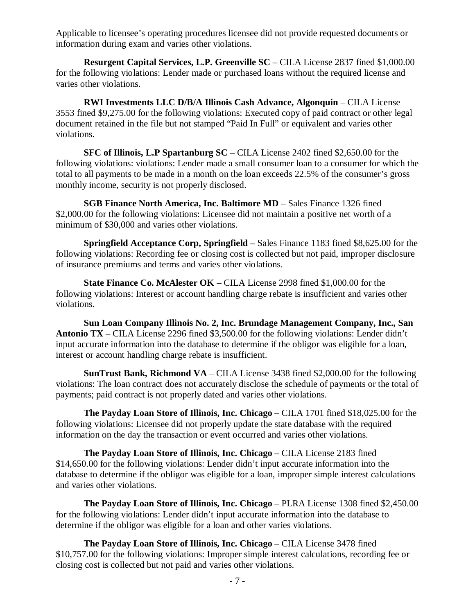Applicable to licensee's operating procedures licensee did not provide requested documents or information during exam and varies other violations.

**Resurgent Capital Services, L.P. Greenville SC** – CILA License 2837 fined \$1,000.00 for the following violations: Lender made or purchased loans without the required license and varies other violations.

**RWI Investments LLC D/B/A Illinois Cash Advance, Algonquin** – CILA License 3553 fined \$9,275.00 for the following violations: Executed copy of paid contract or other legal document retained in the file but not stamped "Paid In Full" or equivalent and varies other violations.

**SFC of Illinois, L.P Spartanburg SC** – CILA License 2402 fined \$2,650.00 for the following violations: violations: Lender made a small consumer loan to a consumer for which the total to all payments to be made in a month on the loan exceeds 22.5% of the consumer's gross monthly income, security is not properly disclosed.

**SGB Finance North America, Inc. Baltimore MD** – Sales Finance 1326 fined \$2,000.00 for the following violations: Licensee did not maintain a positive net worth of a minimum of \$30,000 and varies other violations.

**Springfield Acceptance Corp, Springfield** – Sales Finance 1183 fined \$8,625.00 for the following violations: Recording fee or closing cost is collected but not paid, improper disclosure of insurance premiums and terms and varies other violations.

**State Finance Co. McAlester OK** – CILA License 2998 fined \$1,000.00 for the following violations: Interest or account handling charge rebate is insufficient and varies other violations.

**Sun Loan Company Illinois No. 2, Inc. Brundage Management Company, Inc., San Antonio TX** – CILA License 2296 fined \$3,500.00 for the following violations: Lender didn't input accurate information into the database to determine if the obligor was eligible for a loan, interest or account handling charge rebate is insufficient.

**SunTrust Bank, Richmond VA** – CILA License 3438 fined \$2,000.00 for the following violations: The loan contract does not accurately disclose the schedule of payments or the total of payments; paid contract is not properly dated and varies other violations.

**The Payday Loan Store of Illinois, Inc. Chicago** – CILA 1701 fined \$18,025.00 for the following violations: Licensee did not properly update the state database with the required information on the day the transaction or event occurred and varies other violations.

**The Payday Loan Store of Illinois, Inc. Chicago** – CILA License 2183 fined \$14,650.00 for the following violations: Lender didn't input accurate information into the database to determine if the obligor was eligible for a loan, improper simple interest calculations and varies other violations.

**The Payday Loan Store of Illinois, Inc. Chicago** – PLRA License 1308 fined \$2,450.00 for the following violations: Lender didn't input accurate information into the database to determine if the obligor was eligible for a loan and other varies violations.

**The Payday Loan Store of Illinois, Inc. Chicago** – CILA License 3478 fined \$10,757.00 for the following violations: Improper simple interest calculations, recording fee or closing cost is collected but not paid and varies other violations.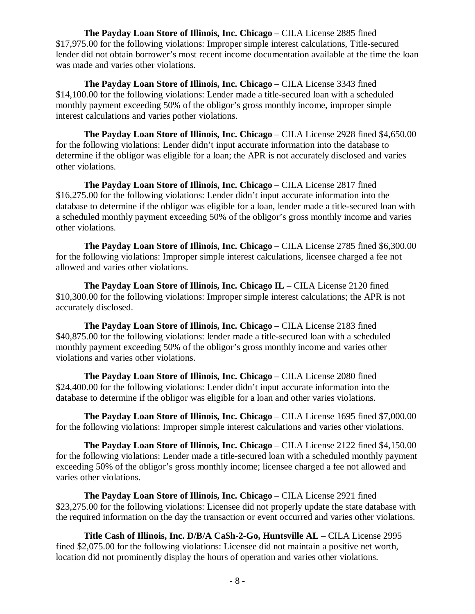**The Payday Loan Store of Illinois, Inc. Chicago** – CILA License 2885 fined \$17,975.00 for the following violations: Improper simple interest calculations, Title-secured lender did not obtain borrower's most recent income documentation available at the time the loan was made and varies other violations.

**The Payday Loan Store of Illinois, Inc. Chicago** – CILA License 3343 fined \$14,100.00 for the following violations: Lender made a title-secured loan with a scheduled monthly payment exceeding 50% of the obligor's gross monthly income, improper simple interest calculations and varies pother violations.

**The Payday Loan Store of Illinois, Inc. Chicago** – CILA License 2928 fined \$4,650.00 for the following violations: Lender didn't input accurate information into the database to determine if the obligor was eligible for a loan; the APR is not accurately disclosed and varies other violations.

**The Payday Loan Store of Illinois, Inc. Chicago** – CILA License 2817 fined \$16,275.00 for the following violations: Lender didn't input accurate information into the database to determine if the obligor was eligible for a loan, lender made a title-secured loan with a scheduled monthly payment exceeding 50% of the obligor's gross monthly income and varies other violations.

**The Payday Loan Store of Illinois, Inc. Chicago** – CILA License 2785 fined \$6,300.00 for the following violations: Improper simple interest calculations, licensee charged a fee not allowed and varies other violations.

**The Payday Loan Store of Illinois, Inc. Chicago IL** – CILA License 2120 fined \$10,300.00 for the following violations: Improper simple interest calculations; the APR is not accurately disclosed.

**The Payday Loan Store of Illinois, Inc. Chicago** – CILA License 2183 fined \$40,875.00 for the following violations: lender made a title-secured loan with a scheduled monthly payment exceeding 50% of the obligor's gross monthly income and varies other violations and varies other violations.

**The Payday Loan Store of Illinois, Inc. Chicago** – CILA License 2080 fined \$24,400.00 for the following violations: Lender didn't input accurate information into the database to determine if the obligor was eligible for a loan and other varies violations.

**The Payday Loan Store of Illinois, Inc. Chicago** – CILA License 1695 fined \$7,000.00 for the following violations: Improper simple interest calculations and varies other violations.

**The Payday Loan Store of Illinois, Inc. Chicago** – CILA License 2122 fined \$4,150.00 for the following violations: Lender made a title-secured loan with a scheduled monthly payment exceeding 50% of the obligor's gross monthly income; licensee charged a fee not allowed and varies other violations.

**The Payday Loan Store of Illinois, Inc. Chicago** – CILA License 2921 fined \$23,275.00 for the following violations: Licensee did not properly update the state database with the required information on the day the transaction or event occurred and varies other violations.

**Title Cash of Illinois, Inc. D/B/A Ca\$h-2-Go, Huntsville AL** – CILA License 2995 fined \$2,075.00 for the following violations: Licensee did not maintain a positive net worth, location did not prominently display the hours of operation and varies other violations.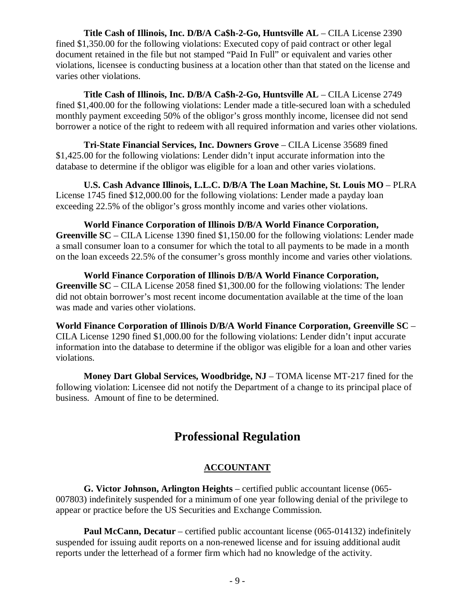**Title Cash of Illinois, Inc. D/B/A Ca\$h-2-Go, Huntsville AL** – CILA License 2390 fined \$1,350.00 for the following violations: Executed copy of paid contract or other legal document retained in the file but not stamped "Paid In Full" or equivalent and varies other violations, licensee is conducting business at a location other than that stated on the license and varies other violations.

**Title Cash of Illinois, Inc. D/B/A Ca\$h-2-Go, Huntsville AL** – CILA License 2749 fined \$1,400.00 for the following violations: Lender made a title-secured loan with a scheduled monthly payment exceeding 50% of the obligor's gross monthly income, licensee did not send borrower a notice of the right to redeem with all required information and varies other violations.

**Tri-State Financial Services, Inc. Downers Grove** – CILA License 35689 fined \$1,425.00 for the following violations: Lender didn't input accurate information into the database to determine if the obligor was eligible for a loan and other varies violations.

**U.S. Cash Advance Illinois, L.L.C. D/B/A The Loan Machine, St. Louis MO** – PLRA License 1745 fined \$12,000.00 for the following violations: Lender made a payday loan exceeding 22.5% of the obligor's gross monthly income and varies other violations.

**World Finance Corporation of Illinois D/B/A World Finance Corporation, Greenville SC** – CILA License 1390 fined \$1,150.00 for the following violations: Lender made a small consumer loan to a consumer for which the total to all payments to be made in a month on the loan exceeds 22.5% of the consumer's gross monthly income and varies other violations.

**World Finance Corporation of Illinois D/B/A World Finance Corporation, Greenville SC** – CILA License 2058 fined \$1,300.00 for the following violations: The lender did not obtain borrower's most recent income documentation available at the time of the loan was made and varies other violations.

**World Finance Corporation of Illinois D/B/A World Finance Corporation, Greenville SC** – CILA License 1290 fined \$1,000.00 for the following violations: Lender didn't input accurate information into the database to determine if the obligor was eligible for a loan and other varies violations.

**Money Dart Global Services, Woodbridge, NJ** – TOMA license MT-217 fined for the following violation: Licensee did not notify the Department of a change to its principal place of business. Amount of fine to be determined.

# **Professional Regulation**

# **ACCOUNTANT**

**G. Victor Johnson, Arlington Heights** – certified public accountant license (065- 007803) indefinitely suspended for a minimum of one year following denial of the privilege to appear or practice before the US Securities and Exchange Commission.

**Paul McCann, Decatur** – certified public accountant license (065-014132) indefinitely suspended for issuing audit reports on a non-renewed license and for issuing additional audit reports under the letterhead of a former firm which had no knowledge of the activity.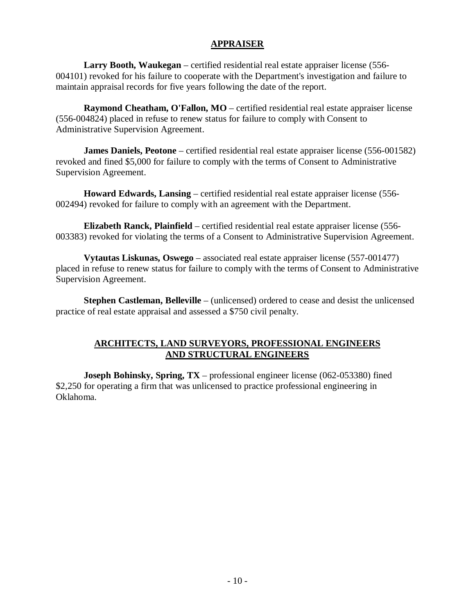### **APPRAISER**

**Larry Booth, Waukegan** – certified residential real estate appraiser license (556- 004101) revoked for his failure to cooperate with the Department's investigation and failure to maintain appraisal records for five years following the date of the report.

**Raymond Cheatham, O'Fallon, MO** – certified residential real estate appraiser license (556-004824) placed in refuse to renew status for failure to comply with Consent to Administrative Supervision Agreement.

**James Daniels, Peotone** – certified residential real estate appraiser license (556-001582) revoked and fined \$5,000 for failure to comply with the terms of Consent to Administrative Supervision Agreement.

**Howard Edwards, Lansing** – certified residential real estate appraiser license (556- 002494) revoked for failure to comply with an agreement with the Department.

**Elizabeth Ranck, Plainfield** – certified residential real estate appraiser license (556- 003383) revoked for violating the terms of a Consent to Administrative Supervision Agreement.

**Vytautas Liskunas, Oswego** – associated real estate appraiser license (557-001477) placed in refuse to renew status for failure to comply with the terms of Consent to Administrative Supervision Agreement.

**Stephen Castleman, Belleville** – (unlicensed) ordered to cease and desist the unlicensed practice of real estate appraisal and assessed a \$750 civil penalty.

## **ARCHITECTS, LAND SURVEYORS, PROFESSIONAL ENGINEERS AND STRUCTURAL ENGINEERS**

**Joseph Bohinsky, Spring, TX** – professional engineer license (062-053380) fined \$2,250 for operating a firm that was unlicensed to practice professional engineering in Oklahoma.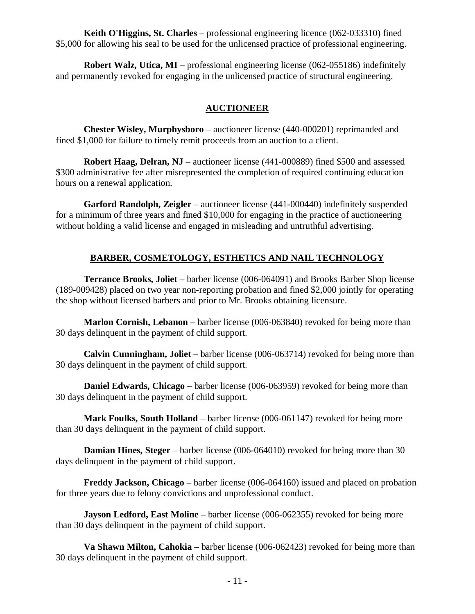**Keith O'Higgins, St. Charles** – professional engineering licence (062-033310) fined \$5,000 for allowing his seal to be used for the unlicensed practice of professional engineering.

**Robert Walz, Utica, MI** – professional engineering license (062-055186) indefinitely and permanently revoked for engaging in the unlicensed practice of structural engineering.

# **AUCTIONEER**

**Chester Wisley, Murphysboro** – auctioneer license (440-000201) reprimanded and fined \$1,000 for failure to timely remit proceeds from an auction to a client.

**Robert Haag, Delran, NJ** – auctioneer license (441-000889) fined \$500 and assessed \$300 administrative fee after misrepresented the completion of required continuing education hours on a renewal application.

**Garford Randolph, Zeigler** – auctioneer license (441-000440) indefinitely suspended for a minimum of three years and fined \$10,000 for engaging in the practice of auctioneering without holding a valid license and engaged in misleading and untruthful advertising.

# **BARBER, COSMETOLOGY, ESTHETICS AND NAIL TECHNOLOGY**

**Terrance Brooks, Joliet** – barber license (006-064091) and Brooks Barber Shop license (189-009428) placed on two year non-reporting probation and fined \$2,000 jointly for operating the shop without licensed barbers and prior to Mr. Brooks obtaining licensure.

**Marlon Cornish, Lebanon** – barber license (006-063840) revoked for being more than 30 days delinquent in the payment of child support.

**Calvin Cunningham, Joliet** – barber license (006-063714) revoked for being more than 30 days delinquent in the payment of child support.

**Daniel Edwards, Chicago** – barber license (006-063959) revoked for being more than 30 days delinquent in the payment of child support.

**Mark Foulks, South Holland** – barber license (006-061147) revoked for being more than 30 days delinquent in the payment of child support.

**Damian Hines, Steger** – barber license (006-064010) revoked for being more than 30 days delinquent in the payment of child support.

**Freddy Jackson, Chicago** – barber license (006-064160) issued and placed on probation for three years due to felony convictions and unprofessional conduct.

**Jayson Ledford, East Moline** – barber license (006-062355) revoked for being more than 30 days delinquent in the payment of child support.

**Va Shawn Milton, Cahokia** – barber license (006-062423) revoked for being more than 30 days delinquent in the payment of child support.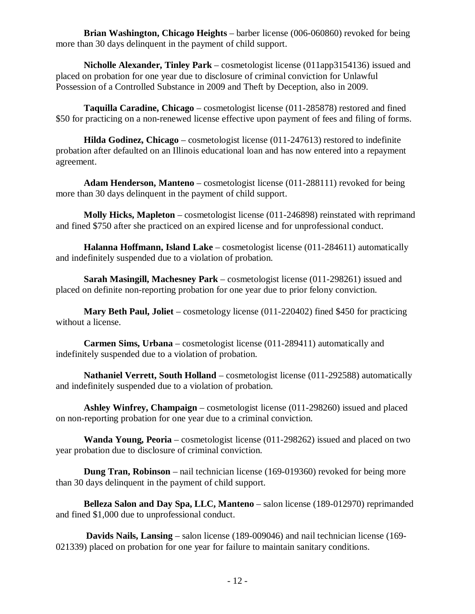**Brian Washington, Chicago Heights** – barber license (006-060860) revoked for being more than 30 days delinquent in the payment of child support.

**Nicholle Alexander, Tinley Park** – cosmetologist license (011app3154136) issued and placed on probation for one year due to disclosure of criminal conviction for Unlawful Possession of a Controlled Substance in 2009 and Theft by Deception, also in 2009.

**Taquilla Caradine, Chicago** – cosmetologist license (011-285878) restored and fined \$50 for practicing on a non-renewed license effective upon payment of fees and filing of forms.

**Hilda Godinez, Chicago** – cosmetologist license (011-247613) restored to indefinite probation after defaulted on an Illinois educational loan and has now entered into a repayment agreement.

**Adam Henderson, Manteno** – cosmetologist license (011-288111) revoked for being more than 30 days delinquent in the payment of child support.

**Molly Hicks, Mapleton** – cosmetologist license (011-246898) reinstated with reprimand and fined \$750 after she practiced on an expired license and for unprofessional conduct.

**Halanna Hoffmann, Island Lake** – cosmetologist license (011-284611) automatically and indefinitely suspended due to a violation of probation.

**Sarah Masingill, Machesney Park** – cosmetologist license (011-298261) issued and placed on definite non-reporting probation for one year due to prior felony conviction.

**Mary Beth Paul, Joliet** – cosmetology license (011-220402) fined \$450 for practicing without a license.

**Carmen Sims, Urbana** – cosmetologist license (011-289411) automatically and indefinitely suspended due to a violation of probation.

**Nathaniel Verrett, South Holland** – cosmetologist license (011-292588) automatically and indefinitely suspended due to a violation of probation.

**Ashley Winfrey, Champaign** – cosmetologist license (011-298260) issued and placed on non-reporting probation for one year due to a criminal conviction.

**Wanda Young, Peoria** – cosmetologist license (011-298262) issued and placed on two year probation due to disclosure of criminal conviction.

**Dung Tran, Robinson** – nail technician license (169-019360) revoked for being more than 30 days delinquent in the payment of child support.

**Belleza Salon and Day Spa, LLC, Manteno** – salon license (189-012970) reprimanded and fined \$1,000 due to unprofessional conduct.

**Davids Nails, Lansing** – salon license (189-009046) and nail technician license (169- 021339) placed on probation for one year for failure to maintain sanitary conditions.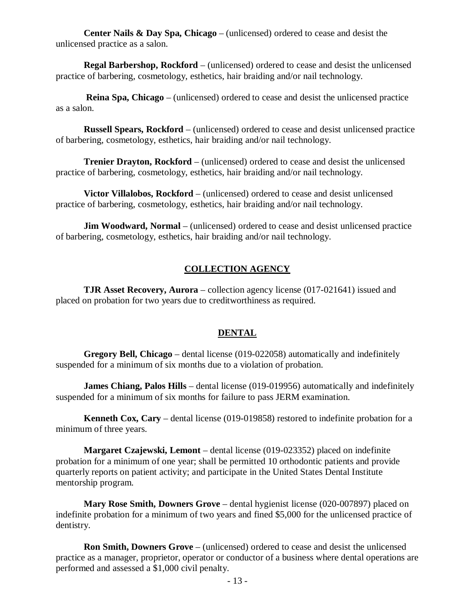**Center Nails & Day Spa, Chicago** – (unlicensed) ordered to cease and desist the unlicensed practice as a salon.

**Regal Barbershop, Rockford** – (unlicensed) ordered to cease and desist the unlicensed practice of barbering, cosmetology, esthetics, hair braiding and/or nail technology.

**Reina Spa, Chicago** – (unlicensed) ordered to cease and desist the unlicensed practice as a salon.

**Russell Spears, Rockford** – (unlicensed) ordered to cease and desist unlicensed practice of barbering, cosmetology, esthetics, hair braiding and/or nail technology.

**Trenier Drayton, Rockford** – (unlicensed) ordered to cease and desist the unlicensed practice of barbering, cosmetology, esthetics, hair braiding and/or nail technology.

**Victor Villalobos, Rockford** – (unlicensed) ordered to cease and desist unlicensed practice of barbering, cosmetology, esthetics, hair braiding and/or nail technology.

**Jim Woodward, Normal** – (unlicensed) ordered to cease and desist unlicensed practice of barbering, cosmetology, esthetics, hair braiding and/or nail technology.

# **COLLECTION AGENCY**

**TJR Asset Recovery, Aurora** – collection agency license (017-021641) issued and placed on probation for two years due to creditworthiness as required.

### **DENTAL**

**Gregory Bell, Chicago** – dental license (019-022058) automatically and indefinitely suspended for a minimum of six months due to a violation of probation.

**James Chiang, Palos Hills** – dental license (019-019956) automatically and indefinitely suspended for a minimum of six months for failure to pass JERM examination.

**Kenneth Cox, Cary** – dental license (019-019858) restored to indefinite probation for a minimum of three years.

**Margaret Czajewski, Lemont** – dental license (019-023352) placed on indefinite probation for a minimum of one year; shall be permitted 10 orthodontic patients and provide quarterly reports on patient activity; and participate in the United States Dental Institute mentorship program.

**Mary Rose Smith, Downers Grove** – dental hygienist license (020-007897) placed on indefinite probation for a minimum of two years and fined \$5,000 for the unlicensed practice of dentistry.

**Ron Smith, Downers Grove** – (unlicensed) ordered to cease and desist the unlicensed practice as a manager, proprietor, operator or conductor of a business where dental operations are performed and assessed a \$1,000 civil penalty.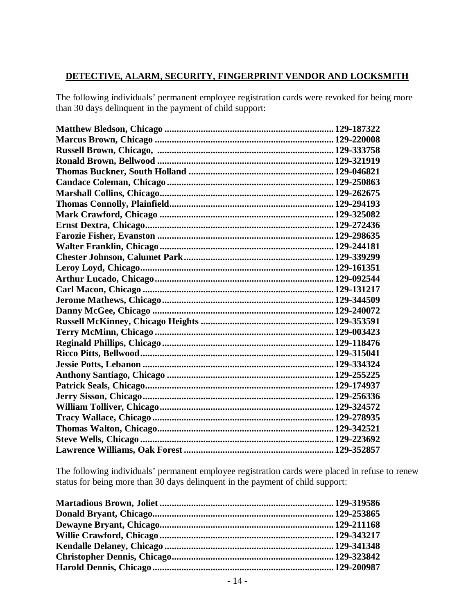# **DETECTIVE, ALARM, SECURITY, FINGERPRINT VENDOR AND LOCKSMITH**

The following individuals' permanent employee registration cards were revoked for being more than 30 days delinquent in the payment of child support:

The following individuals' permanent employee registration cards were placed in refuse to renew status for being more than 30 days delinquent in the payment of child support: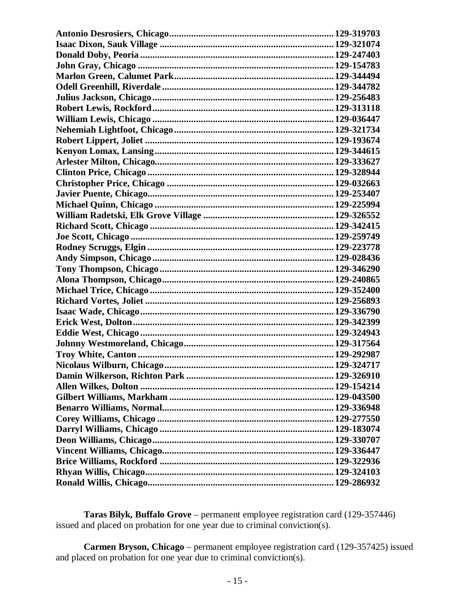**Taras Bilyk, Buffalo Grove** – permanent employee registration card (129-357446) issued and placed on probation for one year due to criminal conviction(s).

**Carmen Bryson, Chicago** – permanent employee registration card (129-357425) issued and placed on probation for one year due to criminal conviction(s).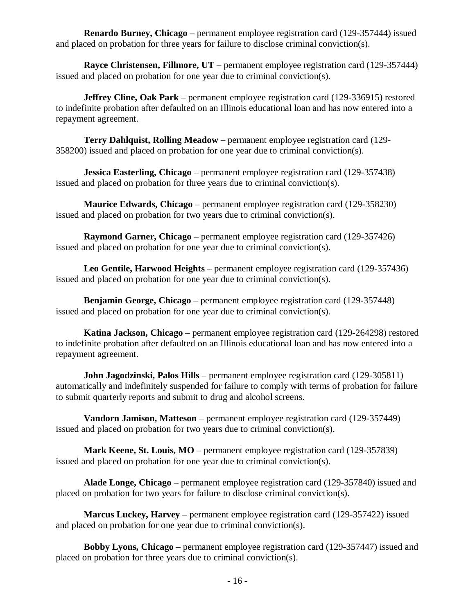**Renardo Burney, Chicago** – permanent employee registration card (129-357444) issued and placed on probation for three years for failure to disclose criminal conviction(s).

**Rayce Christensen, Fillmore, UT** – permanent employee registration card (129-357444) issued and placed on probation for one year due to criminal conviction(s).

**Jeffrey Cline, Oak Park** – permanent employee registration card (129-336915) restored to indefinite probation after defaulted on an Illinois educational loan and has now entered into a repayment agreement.

**Terry Dahlquist, Rolling Meadow** – permanent employee registration card (129- 358200) issued and placed on probation for one year due to criminal conviction(s).

**Jessica Easterling, Chicago** – permanent employee registration card (129-357438) issued and placed on probation for three years due to criminal conviction(s).

**Maurice Edwards, Chicago** – permanent employee registration card (129-358230) issued and placed on probation for two years due to criminal conviction(s).

**Raymond Garner, Chicago** – permanent employee registration card (129-357426) issued and placed on probation for one year due to criminal conviction(s).

**Leo Gentile, Harwood Heights** – permanent employee registration card (129-357436) issued and placed on probation for one year due to criminal conviction(s).

**Benjamin George, Chicago** – permanent employee registration card (129-357448) issued and placed on probation for one year due to criminal conviction(s).

**Katina Jackson, Chicago** – permanent employee registration card (129-264298) restored to indefinite probation after defaulted on an Illinois educational loan and has now entered into a repayment agreement.

**John Jagodzinski, Palos Hills** – permanent employee registration card (129-305811) automatically and indefinitely suspended for failure to comply with terms of probation for failure to submit quarterly reports and submit to drug and alcohol screens.

**Vandorn Jamison, Matteson** – permanent employee registration card (129-357449) issued and placed on probation for two years due to criminal conviction(s).

**Mark Keene, St. Louis, MO** – permanent employee registration card (129-357839) issued and placed on probation for one year due to criminal conviction(s).

**Alade Longe, Chicago** – permanent employee registration card (129-357840) issued and placed on probation for two years for failure to disclose criminal conviction(s).

**Marcus Luckey, Harvey** – permanent employee registration card (129-357422) issued and placed on probation for one year due to criminal conviction(s).

**Bobby Lyons, Chicago** – permanent employee registration card (129-357447) issued and placed on probation for three years due to criminal conviction(s).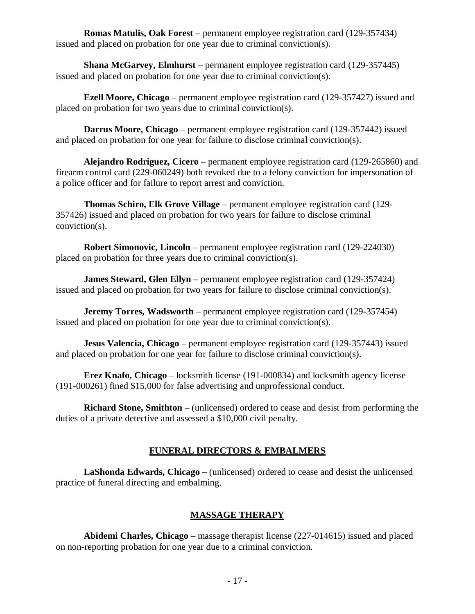**Romas Matulis, Oak Forest** – permanent employee registration card (129-357434) issued and placed on probation for one year due to criminal conviction(s).

**Shana McGarvey, Elmhurst** – permanent employee registration card (129-357445) issued and placed on probation for one year due to criminal conviction(s).

**Ezell Moore, Chicago** – permanent employee registration card (129-357427) issued and placed on probation for two years due to criminal conviction(s).

**Darrus Moore, Chicago** – permanent employee registration card (129-357442) issued and placed on probation for one year for failure to disclose criminal conviction(s).

**Alejandro Rodriguez, Cicero** – permanent employee registration card (129-265860) and firearm control card (229-060249) both revoked due to a felony conviction for impersonation of a police officer and for failure to report arrest and conviction.

**Thomas Schiro, Elk Grove Village** – permanent employee registration card (129- 357426) issued and placed on probation for two years for failure to disclose criminal conviction(s).

**Robert Simonovic, Lincoln** – permanent employee registration card (129-224030) placed on probation for three years due to criminal conviction(s).

**James Steward, Glen Ellyn** – permanent employee registration card (129-357424) issued and placed on probation for two years for failure to disclose criminal conviction(s).

**Jeremy Torres, Wadsworth** – permanent employee registration card (129-357454) issued and placed on probation for one year due to criminal conviction(s).

**Jesus Valencia, Chicago** – permanent employee registration card (129-357443) issued and placed on probation for one year for failure to disclose criminal conviction(s).

**Erez Knafo, Chicago** – locksmith license (191-000834) and locksmith agency license (191-000261) fined \$15,000 for false advertising and unprofessional conduct.

**Richard Stone, Smithton** – (unlicensed) ordered to cease and desist from performing the duties of a private detective and assessed a \$10,000 civil penalty.

# **FUNERAL DIRECTORS & EMBALMERS**

**LaShonda Edwards, Chicago** – (unlicensed) ordered to cease and desist the unlicensed practice of funeral directing and embalming.

# **MASSAGE THERAPY**

**Abidemi Charles, Chicago** – massage therapist license (227-014615) issued and placed on non-reporting probation for one year due to a criminal conviction.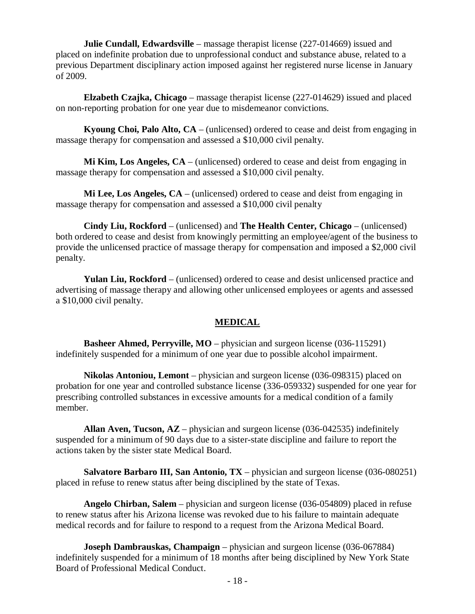**Julie Cundall, Edwardsville** – massage therapist license (227-014669) issued and placed on indefinite probation due to unprofessional conduct and substance abuse, related to a previous Department disciplinary action imposed against her registered nurse license in January of 2009.

**Elzabeth Czajka, Chicago** – massage therapist license (227-014629) issued and placed on non-reporting probation for one year due to misdemeanor convictions.

**Kyoung Choi, Palo Alto, CA** – (unlicensed) ordered to cease and deist from engaging in massage therapy for compensation and assessed a \$10,000 civil penalty.

**Mi Kim, Los Angeles, CA** – (unlicensed) ordered to cease and deist from engaging in massage therapy for compensation and assessed a \$10,000 civil penalty.

**Mi Lee, Los Angeles, CA** – (unlicensed) ordered to cease and deist from engaging in massage therapy for compensation and assessed a \$10,000 civil penalty

**Cindy Liu, Rockford** – (unlicensed) and **The Health Center, Chicago** – (unlicensed) both ordered to cease and desist from knowingly permitting an employee/agent of the business to provide the unlicensed practice of massage therapy for compensation and imposed a \$2,000 civil penalty.

**Yulan Liu, Rockford** – (unlicensed) ordered to cease and desist unlicensed practice and advertising of massage therapy and allowing other unlicensed employees or agents and assessed a \$10,000 civil penalty.

#### **MEDICAL**

**Basheer Ahmed, Perryville, MO** – physician and surgeon license (036-115291) indefinitely suspended for a minimum of one year due to possible alcohol impairment.

**Nikolas Antoniou, Lemont** – physician and surgeon license (036-098315) placed on probation for one year and controlled substance license (336-059332) suspended for one year for prescribing controlled substances in excessive amounts for a medical condition of a family member.

**Allan Aven, Tucson, AZ** – physician and surgeon license (036-042535) indefinitely suspended for a minimum of 90 days due to a sister-state discipline and failure to report the actions taken by the sister state Medical Board.

**Salvatore Barbaro III, San Antonio, TX** – physician and surgeon license (036-080251) placed in refuse to renew status after being disciplined by the state of Texas.

**Angelo Chirban, Salem** – physician and surgeon license (036-054809) placed in refuse to renew status after his Arizona license was revoked due to his failure to maintain adequate medical records and for failure to respond to a request from the Arizona Medical Board.

**Joseph Dambrauskas, Champaign** – physician and surgeon license (036-067884) indefinitely suspended for a minimum of 18 months after being disciplined by New York State Board of Professional Medical Conduct.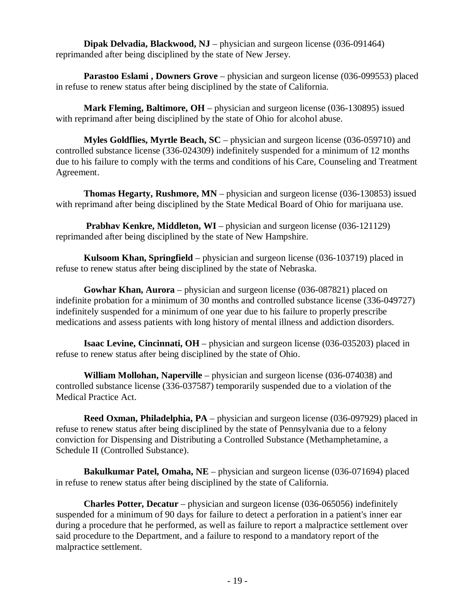**Dipak Delvadia, Blackwood, NJ** – physician and surgeon license (036-091464) reprimanded after being disciplined by the state of New Jersey.

**Parastoo Eslami , Downers Grove** – physician and surgeon license (036-099553) placed in refuse to renew status after being disciplined by the state of California.

**Mark Fleming, Baltimore, OH** – physician and surgeon license (036-130895) issued with reprimand after being disciplined by the state of Ohio for alcohol abuse.

**Myles Goldflies, Myrtle Beach, SC** – physician and surgeon license (036-059710) and controlled substance license (336-024309) indefinitely suspended for a minimum of 12 months due to his failure to comply with the terms and conditions of his Care, Counseling and Treatment Agreement.

**Thomas Hegarty, Rushmore, MN** – physician and surgeon license (036-130853) issued with reprimand after being disciplined by the State Medical Board of Ohio for marijuana use.

**Prabhav Kenkre, Middleton, WI** – physician and surgeon license (036-121129) reprimanded after being disciplined by the state of New Hampshire.

**Kulsoom Khan, Springfield** – physician and surgeon license (036-103719) placed in refuse to renew status after being disciplined by the state of Nebraska.

**Gowhar Khan, Aurora** – physician and surgeon license (036-087821) placed on indefinite probation for a minimum of 30 months and controlled substance license (336-049727) indefinitely suspended for a minimum of one year due to his failure to properly prescribe medications and assess patients with long history of mental illness and addiction disorders.

**Isaac Levine, Cincinnati, OH** – physician and surgeon license (036-035203) placed in refuse to renew status after being disciplined by the state of Ohio.

**William Mollohan, Naperville** – physician and surgeon license (036-074038) and controlled substance license (336-037587) temporarily suspended due to a violation of the Medical Practice Act.

**Reed Oxman, Philadelphia, PA** – physician and surgeon license (036-097929) placed in refuse to renew status after being disciplined by the state of Pennsylvania due to a felony conviction for Dispensing and Distributing a Controlled Substance (Methamphetamine, a Schedule II (Controlled Substance).

**Bakulkumar Patel, Omaha, NE** – physician and surgeon license (036-071694) placed in refuse to renew status after being disciplined by the state of California.

**Charles Potter, Decatur** – physician and surgeon license (036-065056) indefinitely suspended for a minimum of 90 days for failure to detect a perforation in a patient's inner ear during a procedure that he performed, as well as failure to report a malpractice settlement over said procedure to the Department, and a failure to respond to a mandatory report of the malpractice settlement.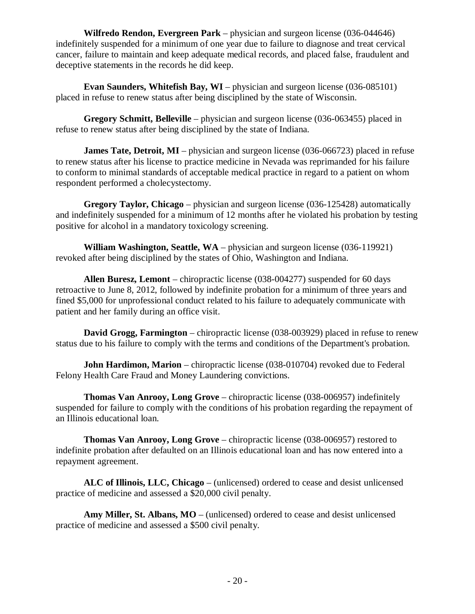**Wilfredo Rendon, Evergreen Park** – physician and surgeon license (036-044646) indefinitely suspended for a minimum of one year due to failure to diagnose and treat cervical cancer, failure to maintain and keep adequate medical records, and placed false, fraudulent and deceptive statements in the records he did keep.

**Evan Saunders, Whitefish Bay, WI** – physician and surgeon license (036-085101) placed in refuse to renew status after being disciplined by the state of Wisconsin.

**Gregory Schmitt, Belleville** – physician and surgeon license (036-063455) placed in refuse to renew status after being disciplined by the state of Indiana.

**James Tate, Detroit, MI** – physician and surgeon license (036-066723) placed in refuse to renew status after his license to practice medicine in Nevada was reprimanded for his failure to conform to minimal standards of acceptable medical practice in regard to a patient on whom respondent performed a cholecystectomy.

**Gregory Taylor, Chicago** – physician and surgeon license (036-125428) automatically and indefinitely suspended for a minimum of 12 months after he violated his probation by testing positive for alcohol in a mandatory toxicology screening.

**William Washington, Seattle, WA** – physician and surgeon license (036-119921) revoked after being disciplined by the states of Ohio, Washington and Indiana.

**Allen Buresz, Lemont** – chiropractic license (038-004277) suspended for 60 days retroactive to June 8, 2012, followed by indefinite probation for a minimum of three years and fined \$5,000 for unprofessional conduct related to his failure to adequately communicate with patient and her family during an office visit.

**David Grogg, Farmington** – chiropractic license (038-003929) placed in refuse to renew status due to his failure to comply with the terms and conditions of the Department's probation.

**John Hardimon, Marion** – chiropractic license (038-010704) revoked due to Federal Felony Health Care Fraud and Money Laundering convictions.

**Thomas Van Anrooy, Long Grove** – chiropractic license (038-006957) indefinitely suspended for failure to comply with the conditions of his probation regarding the repayment of an Illinois educational loan.

**Thomas Van Anrooy, Long Grove** – chiropractic license (038-006957) restored to indefinite probation after defaulted on an Illinois educational loan and has now entered into a repayment agreement.

**ALC of Illinois, LLC, Chicago** – (unlicensed) ordered to cease and desist unlicensed practice of medicine and assessed a \$20,000 civil penalty.

**Amy Miller, St. Albans, MO** – (unlicensed) ordered to cease and desist unlicensed practice of medicine and assessed a \$500 civil penalty.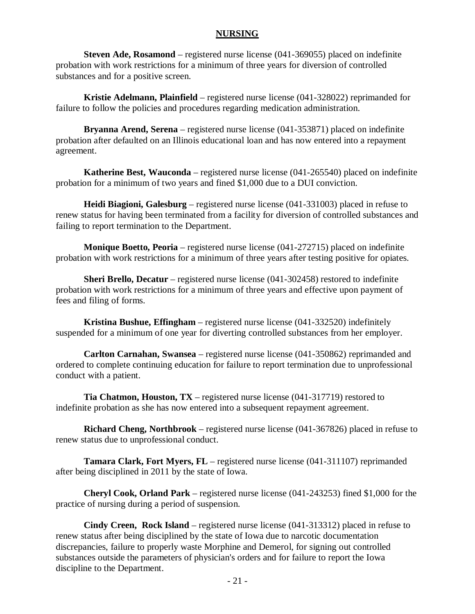#### **NURSING**

**Steven Ade, Rosamond** – registered nurse license (041-369055) placed on indefinite probation with work restrictions for a minimum of three years for diversion of controlled substances and for a positive screen.

**Kristie Adelmann, Plainfield** – registered nurse license (041-328022) reprimanded for failure to follow the policies and procedures regarding medication administration.

**Bryanna Arend, Serena** – registered nurse license (041-353871) placed on indefinite probation after defaulted on an Illinois educational loan and has now entered into a repayment agreement.

**Katherine Best, Wauconda** – registered nurse license (041-265540) placed on indefinite probation for a minimum of two years and fined \$1,000 due to a DUI conviction.

**Heidi Biagioni, Galesburg** – registered nurse license (041-331003) placed in refuse to renew status for having been terminated from a facility for diversion of controlled substances and failing to report termination to the Department.

**Monique Boetto, Peoria** – registered nurse license (041-272715) placed on indefinite probation with work restrictions for a minimum of three years after testing positive for opiates.

**Sheri Brello, Decatur** – registered nurse license (041-302458) restored to indefinite probation with work restrictions for a minimum of three years and effective upon payment of fees and filing of forms.

**Kristina Bushue, Effingham** – registered nurse license (041-332520) indefinitely suspended for a minimum of one year for diverting controlled substances from her employer.

**Carlton Carnahan, Swansea** – registered nurse license (041-350862) reprimanded and ordered to complete continuing education for failure to report termination due to unprofessional conduct with a patient.

**Tia Chatmon, Houston, TX** – registered nurse license (041-317719) restored to indefinite probation as she has now entered into a subsequent repayment agreement.

**Richard Cheng, Northbrook** – registered nurse license (041-367826) placed in refuse to renew status due to unprofessional conduct.

**Tamara Clark, Fort Myers, FL** – registered nurse license (041-311107) reprimanded after being disciplined in 2011 by the state of Iowa.

**Cheryl Cook, Orland Park** – registered nurse license (041-243253) fined \$1,000 for the practice of nursing during a period of suspension.

**Cindy Creen, Rock Island** – registered nurse license (041-313312) placed in refuse to renew status after being disciplined by the state of Iowa due to narcotic documentation discrepancies, failure to properly waste Morphine and Demerol, for signing out controlled substances outside the parameters of physician's orders and for failure to report the Iowa discipline to the Department.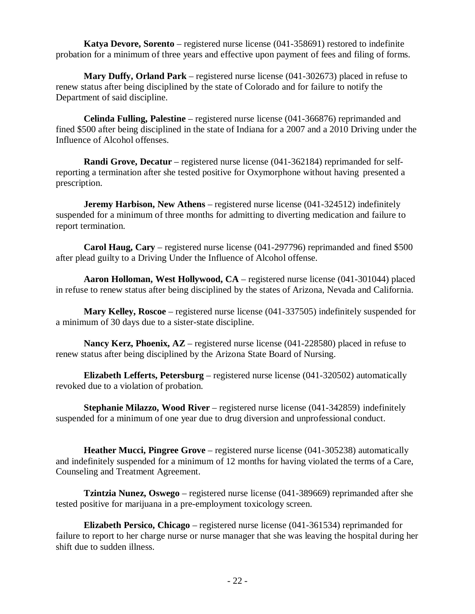**Katya Devore, Sorento** – registered nurse license (041-358691) restored to indefinite probation for a minimum of three years and effective upon payment of fees and filing of forms.

**Mary Duffy, Orland Park** – registered nurse license (041-302673) placed in refuse to renew status after being disciplined by the state of Colorado and for failure to notify the Department of said discipline.

**Celinda Fulling, Palestine** – registered nurse license (041-366876) reprimanded and fined \$500 after being disciplined in the state of Indiana for a 2007 and a 2010 Driving under the Influence of Alcohol offenses.

**Randi Grove, Decatur** – registered nurse license (041-362184) reprimanded for selfreporting a termination after she tested positive for Oxymorphone without having presented a prescription.

**Jeremy Harbison, New Athens** – registered nurse license (041-324512) indefinitely suspended for a minimum of three months for admitting to diverting medication and failure to report termination.

**Carol Haug, Cary** – registered nurse license (041-297796) reprimanded and fined \$500 after plead guilty to a Driving Under the Influence of Alcohol offense.

**Aaron Holloman, West Hollywood, CA** – registered nurse license (041-301044) placed in refuse to renew status after being disciplined by the states of Arizona, Nevada and California.

**Mary Kelley, Roscoe** – registered nurse license (041-337505) indefinitely suspended for a minimum of 30 days due to a sister-state discipline.

**Nancy Kerz, Phoenix, AZ** – registered nurse license (041-228580) placed in refuse to renew status after being disciplined by the Arizona State Board of Nursing.

**Elizabeth Lefferts, Petersburg** – registered nurse license (041-320502) automatically revoked due to a violation of probation.

**Stephanie Milazzo, Wood River** – registered nurse license (041-342859) indefinitely suspended for a minimum of one year due to drug diversion and unprofessional conduct.

**Heather Mucci, Pingree Grove** – registered nurse license (041-305238) automatically and indefinitely suspended for a minimum of 12 months for having violated the terms of a Care, Counseling and Treatment Agreement.

**Tzintzia Nunez, Oswego** – registered nurse license (041-389669) reprimanded after she tested positive for marijuana in a pre-employment toxicology screen.

**Elizabeth Persico, Chicago** – registered nurse license (041-361534) reprimanded for failure to report to her charge nurse or nurse manager that she was leaving the hospital during her shift due to sudden illness.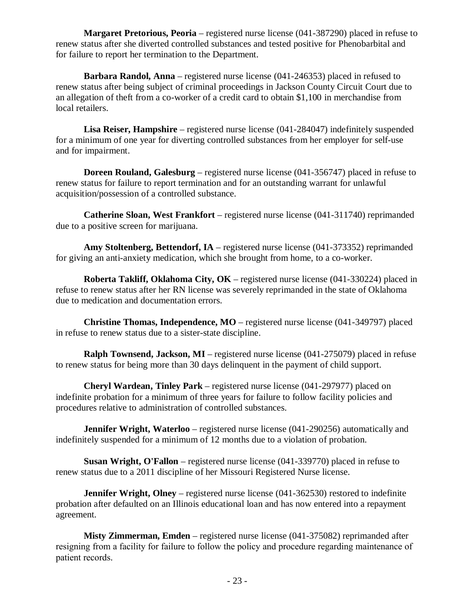**Margaret Pretorious, Peoria** – registered nurse license (041-387290) placed in refuse to renew status after she diverted controlled substances and tested positive for Phenobarbital and for failure to report her termination to the Department.

**Barbara Randol, Anna** – registered nurse license (041-246353) placed in refused to renew status after being subject of criminal proceedings in Jackson County Circuit Court due to an allegation of theft from a co-worker of a credit card to obtain \$1,100 in merchandise from local retailers.

**Lisa Reiser, Hampshire** – registered nurse license (041-284047) indefinitely suspended for a minimum of one year for diverting controlled substances from her employer for self-use and for impairment.

**Doreen Rouland, Galesburg** – registered nurse license (041-356747) placed in refuse to renew status for failure to report termination and for an outstanding warrant for unlawful acquisition/possession of a controlled substance.

**Catherine Sloan, West Frankfort** – registered nurse license (041-311740) reprimanded due to a positive screen for marijuana.

**Amy Stoltenberg, Bettendorf, IA** – registered nurse license (041-373352) reprimanded for giving an anti-anxiety medication, which she brought from home, to a co-worker.

**Roberta Takliff, Oklahoma City, OK** – registered nurse license (041-330224) placed in refuse to renew status after her RN license was severely reprimanded in the state of Oklahoma due to medication and documentation errors.

**Christine Thomas, Independence, MO** – registered nurse license (041-349797) placed in refuse to renew status due to a sister-state discipline.

**Ralph Townsend, Jackson, MI** – registered nurse license (041-275079) placed in refuse to renew status for being more than 30 days delinquent in the payment of child support.

**Cheryl Wardean, Tinley Park** – registered nurse license (041-297977) placed on indefinite probation for a minimum of three years for failure to follow facility policies and procedures relative to administration of controlled substances.

**Jennifer Wright, Waterloo** – registered nurse license (041-290256) automatically and indefinitely suspended for a minimum of 12 months due to a violation of probation.

**Susan Wright, O'Fallon** – registered nurse license (041-339770) placed in refuse to renew status due to a 2011 discipline of her Missouri Registered Nurse license.

**Jennifer Wright, Olney** – registered nurse license (041-362530) restored to indefinite probation after defaulted on an Illinois educational loan and has now entered into a repayment agreement.

**Misty Zimmerman, Emden** – registered nurse license (041-375082) reprimanded after resigning from a facility for failure to follow the policy and procedure regarding maintenance of patient records.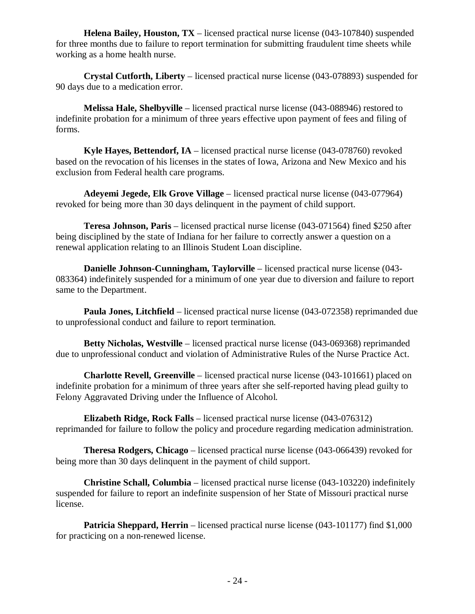**Helena Bailey, Houston, TX** – licensed practical nurse license (043-107840) suspended for three months due to failure to report termination for submitting fraudulent time sheets while working as a home health nurse.

**Crystal Cutforth, Liberty** – licensed practical nurse license (043-078893) suspended for 90 days due to a medication error.

**Melissa Hale, Shelbyville** – licensed practical nurse license (043-088946) restored to indefinite probation for a minimum of three years effective upon payment of fees and filing of forms.

**Kyle Hayes, Bettendorf, IA** – licensed practical nurse license (043-078760) revoked based on the revocation of his licenses in the states of Iowa, Arizona and New Mexico and his exclusion from Federal health care programs.

**Adeyemi Jegede, Elk Grove Village** – licensed practical nurse license (043-077964) revoked for being more than 30 days delinquent in the payment of child support.

**Teresa Johnson, Paris** – licensed practical nurse license (043-071564) fined \$250 after being disciplined by the state of Indiana for her failure to correctly answer a question on a renewal application relating to an Illinois Student Loan discipline.

**Danielle Johnson-Cunningham, Taylorville** – licensed practical nurse license (043- 083364) indefinitely suspended for a minimum of one year due to diversion and failure to report same to the Department.

**Paula Jones, Litchfield** – licensed practical nurse license (043-072358) reprimanded due to unprofessional conduct and failure to report termination.

**Betty Nicholas, Westville** – licensed practical nurse license (043-069368) reprimanded due to unprofessional conduct and violation of Administrative Rules of the Nurse Practice Act.

**Charlotte Revell, Greenville** – licensed practical nurse license (043-101661) placed on indefinite probation for a minimum of three years after she self-reported having plead guilty to Felony Aggravated Driving under the Influence of Alcohol.

**Elizabeth Ridge, Rock Falls** – licensed practical nurse license (043-076312) reprimanded for failure to follow the policy and procedure regarding medication administration.

**Theresa Rodgers, Chicago** – licensed practical nurse license (043-066439) revoked for being more than 30 days delinquent in the payment of child support.

**Christine Schall, Columbia** – licensed practical nurse license (043-103220) indefinitely suspended for failure to report an indefinite suspension of her State of Missouri practical nurse license.

**Patricia Sheppard, Herrin** – licensed practical nurse license (043-101177) find \$1,000 for practicing on a non-renewed license.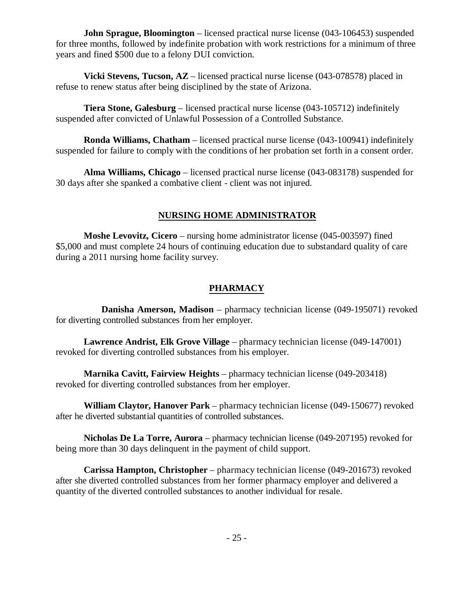**John Sprague, Bloomington** – licensed practical nurse license (043-106453) suspended for three months, followed by indefinite probation with work restrictions for a minimum of three years and fined \$500 due to a felony DUI conviction.

**Vicki Stevens, Tucson, AZ** – licensed practical nurse license (043-078578) placed in refuse to renew status after being disciplined by the state of Arizona.

**Tiera Stone, Galesburg** – licensed practical nurse license (043-105712) indefinitely suspended after convicted of Unlawful Possession of a Controlled Substance.

**Ronda Williams, Chatham** – licensed practical nurse license (043-100941) indefinitely suspended for failure to comply with the conditions of her probation set forth in a consent order.

**Alma Williams, Chicago** – licensed practical nurse license (043-083178) suspended for 30 days after she spanked a combative client - client was not injured.

### **NURSING HOME ADMINISTRATOR**

**Moshe Levovitz, Cicero** – nursing home administrator license (045-003597) fined \$5,000 and must complete 24 hours of continuing education due to substandard quality of care during a 2011 nursing home facility survey.

# **PHARMACY**

**Danisha Amerson, Madison** – pharmacy technician license (049-195071) revoked for diverting controlled substances from her employer.

**Lawrence Andrist, Elk Grove Village** – pharmacy technician license (049-147001) revoked for diverting controlled substances from his employer.

**Marnika Cavitt, Fairview Heights** – pharmacy technician license (049-203418) revoked for diverting controlled substances from her employer.

**William Claytor, Hanover Park** – pharmacy technician license (049-150677) revoked after he diverted substantial quantities of controlled substances.

**Nicholas De La Torre, Aurora** – pharmacy technician license (049-207195) revoked for being more than 30 days delinquent in the payment of child support.

**Carissa Hampton, Christopher** – pharmacy technician license (049-201673) revoked after she diverted controlled substances from her former pharmacy employer and delivered a quantity of the diverted controlled substances to another individual for resale.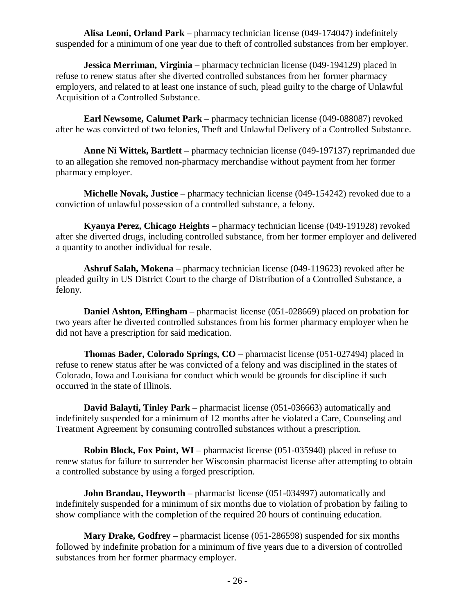**Alisa Leoni, Orland Park** – pharmacy technician license (049-174047) indefinitely suspended for a minimum of one year due to theft of controlled substances from her employer.

**Jessica Merriman, Virginia** – pharmacy technician license (049-194129) placed in refuse to renew status after she diverted controlled substances from her former pharmacy employers, and related to at least one instance of such, plead guilty to the charge of Unlawful Acquisition of a Controlled Substance.

**Earl Newsome, Calumet Park** – pharmacy technician license (049-088087) revoked after he was convicted of two felonies, Theft and Unlawful Delivery of a Controlled Substance.

**Anne Ni Wittek, Bartlett** – pharmacy technician license (049-197137) reprimanded due to an allegation she removed non-pharmacy merchandise without payment from her former pharmacy employer.

**Michelle Novak, Justice** – pharmacy technician license (049-154242) revoked due to a conviction of unlawful possession of a controlled substance, a felony.

**Kyanya Perez, Chicago Heights** – pharmacy technician license (049-191928) revoked after she diverted drugs, including controlled substance, from her former employer and delivered a quantity to another individual for resale.

**Ashruf Salah, Mokena** – pharmacy technician license (049-119623) revoked after he pleaded guilty in US District Court to the charge of Distribution of a Controlled Substance, a felony.

**Daniel Ashton, Effingham** – pharmacist license (051-028669) placed on probation for two years after he diverted controlled substances from his former pharmacy employer when he did not have a prescription for said medication.

**Thomas Bader, Colorado Springs, CO** – pharmacist license (051-027494) placed in refuse to renew status after he was convicted of a felony and was disciplined in the states of Colorado, Iowa and Louisiana for conduct which would be grounds for discipline if such occurred in the state of Illinois.

**David Balayti, Tinley Park** – pharmacist license (051-036663) automatically and indefinitely suspended for a minimum of 12 months after he violated a Care, Counseling and Treatment Agreement by consuming controlled substances without a prescription.

**Robin Block, Fox Point, WI** – pharmacist license (051-035940) placed in refuse to renew status for failure to surrender her Wisconsin pharmacist license after attempting to obtain a controlled substance by using a forged prescription.

**John Brandau, Heyworth** – pharmacist license (051-034997) automatically and indefinitely suspended for a minimum of six months due to violation of probation by failing to show compliance with the completion of the required 20 hours of continuing education.

**Mary Drake, Godfrey** – pharmacist license (051-286598) suspended for six months followed by indefinite probation for a minimum of five years due to a diversion of controlled substances from her former pharmacy employer.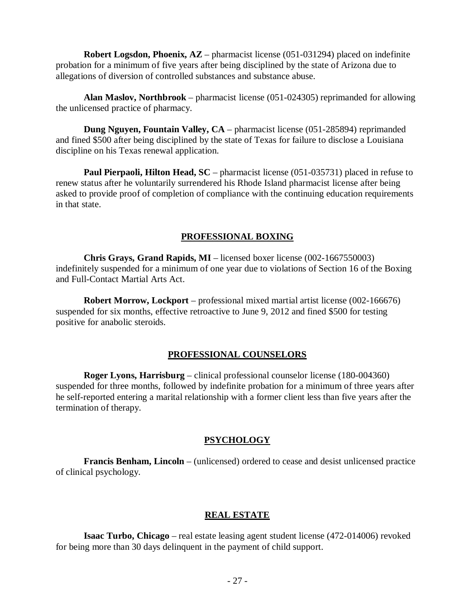**Robert Logsdon, Phoenix, AZ** – pharmacist license (051-031294) placed on indefinite probation for a minimum of five years after being disciplined by the state of Arizona due to allegations of diversion of controlled substances and substance abuse.

**Alan Maslov, Northbrook** – pharmacist license (051-024305) reprimanded for allowing the unlicensed practice of pharmacy.

**Dung Nguyen, Fountain Valley, CA** – pharmacist license (051-285894) reprimanded and fined \$500 after being disciplined by the state of Texas for failure to disclose a Louisiana discipline on his Texas renewal application.

**Paul Pierpaoli, Hilton Head, SC** – pharmacist license (051-035731) placed in refuse to renew status after he voluntarily surrendered his Rhode Island pharmacist license after being asked to provide proof of completion of compliance with the continuing education requirements in that state.

### **PROFESSIONAL BOXING**

**Chris Grays, Grand Rapids, MI** – licensed boxer license (002-1667550003) indefinitely suspended for a minimum of one year due to violations of Section 16 of the Boxing and Full-Contact Martial Arts Act.

**Robert Morrow, Lockport** – professional mixed martial artist license (002-166676) suspended for six months, effective retroactive to June 9, 2012 and fined \$500 for testing positive for anabolic steroids.

#### **PROFESSIONAL COUNSELORS**

**Roger Lyons, Harrisburg** – clinical professional counselor license (180-004360) suspended for three months, followed by indefinite probation for a minimum of three years after he self-reported entering a marital relationship with a former client less than five years after the termination of therapy.

#### **PSYCHOLOGY**

**Francis Benham, Lincoln** – (unlicensed) ordered to cease and desist unlicensed practice of clinical psychology.

#### **REAL ESTATE**

**Isaac Turbo, Chicago** – real estate leasing agent student license (472-014006) revoked for being more than 30 days delinquent in the payment of child support.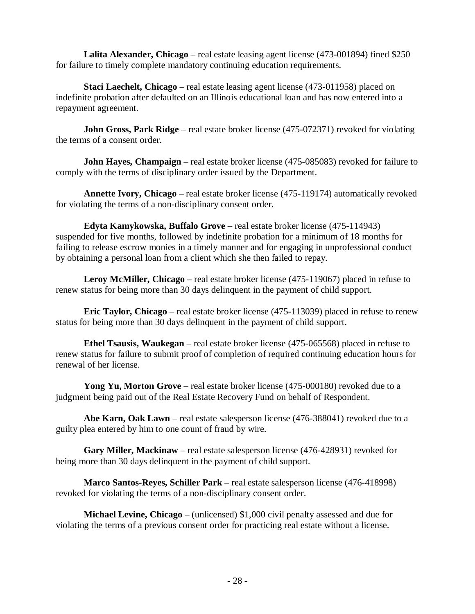**Lalita Alexander, Chicago** – real estate leasing agent license (473-001894) fined \$250 for failure to timely complete mandatory continuing education requirements.

**Staci Laechelt, Chicago** – real estate leasing agent license (473-011958) placed on indefinite probation after defaulted on an Illinois educational loan and has now entered into a repayment agreement.

**John Gross, Park Ridge** – real estate broker license (475-072371) revoked for violating the terms of a consent order.

**John Hayes, Champaign** – real estate broker license (475-085083) revoked for failure to comply with the terms of disciplinary order issued by the Department.

**Annette Ivory, Chicago** – real estate broker license (475-119174) automatically revoked for violating the terms of a non-disciplinary consent order.

**Edyta Kamykowska, Buffalo Grove** – real estate broker license (475-114943) suspended for five months, followed by indefinite probation for a minimum of 18 months for failing to release escrow monies in a timely manner and for engaging in unprofessional conduct by obtaining a personal loan from a client which she then failed to repay.

**Leroy McMiller, Chicago** – real estate broker license (475-119067) placed in refuse to renew status for being more than 30 days delinquent in the payment of child support.

**Eric Taylor, Chicago** – real estate broker license (475-113039) placed in refuse to renew status for being more than 30 days delinquent in the payment of child support.

**Ethel Tsausis, Waukegan** – real estate broker license (475-065568) placed in refuse to renew status for failure to submit proof of completion of required continuing education hours for renewal of her license.

**Yong Yu, Morton Grove** – real estate broker license (475-000180) revoked due to a judgment being paid out of the Real Estate Recovery Fund on behalf of Respondent.

**Abe Karn, Oak Lawn** – real estate salesperson license (476-388041) revoked due to a guilty plea entered by him to one count of fraud by wire.

**Gary Miller, Mackinaw** – real estate salesperson license (476-428931) revoked for being more than 30 days delinquent in the payment of child support.

**Marco Santos-Reyes, Schiller Park** – real estate salesperson license (476-418998) revoked for violating the terms of a non-disciplinary consent order.

**Michael Levine, Chicago** – (unlicensed) \$1,000 civil penalty assessed and due for violating the terms of a previous consent order for practicing real estate without a license.